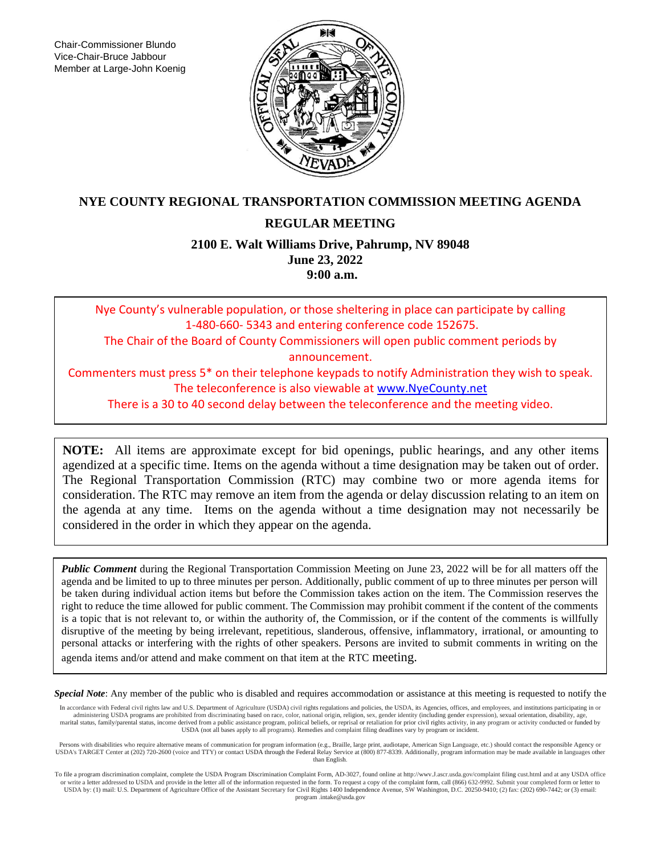Chair-Commissioner Blundo Vice-Chair-Bruce Jabbour Member at Large-John Koenig



## **NYE COUNTY REGIONAL TRANSPORTATION COMMISSION MEETING AGENDA**

## **REGULAR MEETING**

**2100 E. Walt Williams Drive, Pahrump, NV 89048 June 23, 2022 9:00 a.m.**

Nye County's vulnerable population, or those sheltering in place can participate by calling 1-480-660- 5343 and entering conference code 152675. The Chair of the Board of County Commissioners will open public comment periods by announcement. Commenters must press 5\* on their telephone keypads to notify Administration they wish to speak. The teleconference is also viewable at [www.NyeCounty.net](http://www.nyecounty.net/)

There is a 30 to 40 second delay between the teleconference and the meeting video.

**NOTE:** All items are approximate except for bid openings, public hearings, and any other items agendized at a specific time. Items on the agenda without a time designation may be taken out of order. The Regional Transportation Commission (RTC) may combine two or more agenda items for consideration. The RTC may remove an item from the agenda or delay discussion relating to an item on the agenda at any time. Items on the agenda without a time designation may not necessarily be considered in the order in which they appear on the agenda.

*Public Comment* during the Regional Transportation Commission Meeting on June 23, 2022 will be for all matters off the agenda and be limited to up to three minutes per person. Additionally, public comment of up to three minutes per person will be taken during individual action items but before the Commission takes action on the item. The Commission reserves the right to reduce the time allowed for public comment. The Commission may prohibit comment if the content of the comments is a topic that is not relevant to, or within the authority of, the Commission, or if the content of the comments is willfully disruptive of the meeting by being irrelevant, repetitious, slanderous, offensive, inflammatory, irrational, or amounting to personal attacks or interfering with the rights of other speakers. Persons are invited to submit comments in writing on the agenda items and/or attend and make comment on that item at the RTC meeting.

*Special Note*: Any member of the public who is disabled and requires accommodation or assistance at this meeting is requested to notify the

In accordance with Federal civil rights law and U.S. Department of Agriculture (USDA) civil rights regulations and policies, the USDA, its Agencies, offices, and employees, and institutions participating in or administering USDA programs are prohibited from discriminating based on race, color, national origin, religion, sex, gender identity (including gender expression), sexual orientation, disability, age, marital status, family/parental status, income derived from a public assistance program, political beliefs, or reprisal or retaliation for prior civil rights activity, in any program or activity conducted or funded by<br>USDA

Persons with disabilities who require alternative means of communication for program information (e.g., Braille, large print, audiotape, American Sign Language, etc.) should contact the responsible Agency or USDA's TARGET than English.

To file a program discrimination complaint, complete the USDA Program Discrimination Complaint Form, AD-3027, found online at http://wwv.J.ascr.usda.gov/complaint filing cust.html and at any USDA office or write a letter addressed to USDA and provide in the letter all of the information requested in the form. To request a copy of the complaint form, call (866) 632-9992. Submit your completed form or letter to USDA by: (1) program .intake@usda.gov